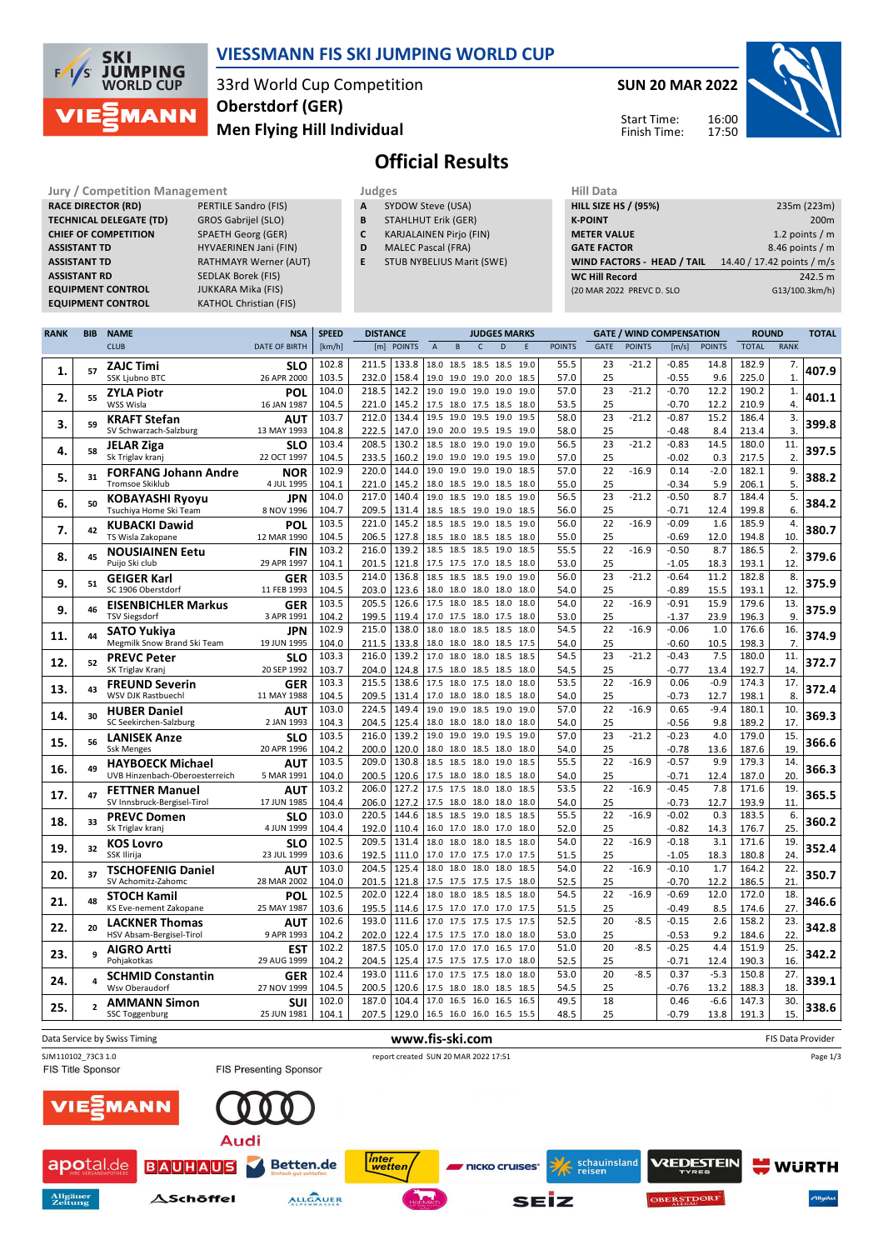

### **VIESSMANN FIS SKI JUMPING WORLD CUP**

33rd World Cup Competition **Men Flying Hill Individual Oberstdorf (GER)**

**SUN 20 MAR 2022** 16:00 Start Time:

Finish Time:

17:50



# **Official Results**

**RACE DIRECTOR (RD) TECHNICAL DELEGATE (TD)** GROS Gabrijel (SLO) **CHIEF OF COMPETITION** SPAETH Georg (GER) **ASSISTANT TD** HYVAERINEN Jani (FIN) **ASSISTANT TD** RATHMAYR Werner (AUT)<br> **ASSISTANT RD** SEDLAK Borek (FIS) **EQUIPMENT CONTROL** 

**Jury / Competition Management Judges Judges Hill Data**<br> **RACE DIRECTOR (RD)** PERTILE Sandro (FIS) **A** SYDOW Steve (USA) **HILL SIZE F SEDLAK Borek (FIS)**<br>JUKKARA Mika (FIS) **EQUIPMENT CONTROL** KATHOL Christian (FIS)

- **A** SYDOW Steve (USA)
- **B** STAHLHUT Erik (GER)
- **C** KARJALAINEN Pirjo (FIN)
- **D** MALEC Pascal (FRA)
- **E** STUB NYBELIUS Marit (SWE)

| niil Ddtd                         |                            |
|-----------------------------------|----------------------------|
| <b>HILL SIZE HS / (95%)</b>       | 235m (223m)                |
| <b>K-POINT</b>                    | 200 <sub>m</sub>           |
| <b>METER VALUE</b>                | 1.2 points $/m$            |
| <b>GATE FACTOR</b>                | 8.46 points $/m$           |
| <b>WIND FACTORS - HEAD / TAIL</b> | 14.40 / 17.42 points / m/s |
| <b>WC Hill Record</b>             | 242.5 m                    |
| (20 MAR 2022 PREVC D. SLO         | G13/100.3km/h)             |
|                                   |                            |

| <b>RANK</b> | <b>BIB</b>     | <b>NAME</b>                                           | <b>NSA</b>                | <b>SPEED</b>   |                                  | <b>JUDGES MARKS</b> |                                            |              |      | <b>GATE / WIND COMPENSATION</b> |               |                       |               | <b>ROUND</b>       |                | <b>TOTAL</b>   |                                  |       |
|-------------|----------------|-------------------------------------------------------|---------------------------|----------------|----------------------------------|---------------------|--------------------------------------------|--------------|------|---------------------------------|---------------|-----------------------|---------------|--------------------|----------------|----------------|----------------------------------|-------|
|             |                | <b>CLUB</b>                                           | <b>DATE OF BIRTH</b>      | [km/h]         | [m] POINTS                       | $\mathsf A$         | $\, {\bf B}$                               | $\mathsf{C}$ | D    | E                               | <b>POINTS</b> | <b>GATE</b>           | <b>POINTS</b> | [m/s]              | <b>POINTS</b>  | <b>TOTAL</b>   | RANK                             |       |
| 1.          | 57             | <b>ZAJC Timi</b><br><b>SSK Ljubno BTC</b>             | <b>SLO</b><br>26 APR 2000 | 102.8<br>103.5 | 211.5<br>133.8<br>232.0<br>158.4 |                     | 18.0 18.5 18.5 18.5<br>19.0 19.0 19.0 20.0 |              |      | 19.0<br>18.5                    | 55.5<br>57.0  | 23<br>25              | $-21.2$       | $-0.85$<br>$-0.55$ | 14.8<br>9.6    | 182.9<br>225.0 | $\overline{7}$ .<br>$\mathbf{1}$ | 407.9 |
| 2.          | 55             | <b>ZYLA Piotr</b><br>WSS Wisla                        | POL<br>16 JAN 1987        | 104.0<br>104.5 | 218.5<br>142.2<br>221.0<br>145.2 |                     | 19.0 19.0 19.0<br>17.5 18.0 17.5 18.5      |              | 19.0 | 19.0<br>18.0                    | 57.0<br>53.5  | 23<br>25              | $-21.2$       | $-0.70$<br>-0.70   | 12.2<br>12.2   | 190.2<br>210.9 | 1.<br>$\overline{4}$ .           | 401.1 |
|             |                | <b>KRAFT Stefan</b>                                   | AUT                       | 103.7          | 212.0<br>134.4                   | 19.5                | 19.0                                       | 19.5         | 19.0 | 19.5                            | 58.0          | 23                    | $-21.2$       | $-0.87$            | 15.2           | 186.4          | 3.                               |       |
| 3.          | 59             | SV Schwarzach-Salzburg                                | 13 MAY 1993               | 104.8          | 222.5<br>147.0                   |                     | 19.0 20.0 19.5 19.5                        |              |      | 19.0                            | 58.0          | 25                    |               | $-0.48$            | 8.4            | 213.4          | 3.                               | 399.8 |
| 4.          | 58             | <b>JELAR Ziga</b>                                     | <b>SLO</b>                | 103.4          | 208.5<br>130.2                   |                     | 18.5 18.0 19.0 19.0                        |              |      | 19.0                            | 56.5          | 23                    | $-21.2$       | $-0.83$            | 14.5           | 180.0          | 11.                              | 397.5 |
|             |                | Sk Triglav kranj                                      | 22 OCT 1997               | 104.5          | 233.5<br>160.2                   | 19.0                | 19.0                                       | 19.0         | 19.5 | 19.0                            | 57.0          | 25                    |               | $-0.02$            | 0.3            | 217.5          | 2.                               |       |
| 5.          | 31             | <b>FORFANG Johann Andre</b><br><b>Tromsoe Skiklub</b> | <b>NOR</b><br>4 JUL 1995  | 102.9<br>104.1 | 220.0<br>144.0<br>221.0          | 19.0                | 19.0<br>18.0 18.5 19.0 18.5                | 19.0         | 19.0 | 18.5<br>18.0                    | 57.0<br>55.0  | 22                    | $-16.9$       | 0.14<br>$-0.34$    | $-2.0$<br>5.9  | 182.1          | 9.<br>5.                         | 388.2 |
|             |                |                                                       | JPN                       | 104.0          | 145.2<br>217.0<br>140.4          | 19.0                |                                            | 18.5 19.0    | 18.5 | 19.0                            | 56.5          | 25<br>$\overline{23}$ | $-21.2$       | $-0.50$            | 8.7            | 206.1<br>184.4 | 5.                               |       |
| 6.          | 50             | <b>KOBAYASHI Ryoyu</b><br>Tsuchiya Home Ski Team      | 8 NOV 1996                | 104.7          | 209.5<br>131.4                   |                     | 18.5 18.5 19.0 19.0                        |              |      | 18.5                            | 56.0          | 25                    |               | $-0.71$            | 12.4           | 199.8          | 6.                               | 384.2 |
|             |                | <b>KUBACKI Dawid</b>                                  | <b>POL</b>                | 103.5          | 221.0<br>145.2                   |                     | 18.5 18.5 19.0 18.5                        |              |      | 19.0                            | 56.0          | 22                    | $-16.9$       | $-0.09$            | 1.6            | 185.9          | $\overline{4}$ .                 |       |
| 7.          | 42             | TS Wisla Zakopane                                     | 12 MAR 1990               | 104.5          | 206.5<br>127.8                   |                     | 18.5 18.0 18.5 18.5                        |              |      | 18.0                            | 55.0          | 25                    |               | $-0.69$            | 12.0           | 194.8          | 10.                              | 380.7 |
| 8.          | 45             | <b>NOUSIAINEN Eetu</b>                                | <b>FIN</b>                | 103.2          | 216.0<br>139.2                   |                     | 18.5 18.5                                  | 18.5         | 19.0 | 18.5                            | 55.5          | 22                    | $-16.9$       | $-0.50$            | 8.7            | 186.5          | 2.                               | 379.6 |
|             |                | Puijo Ski club                                        | 29 APR 1997               | 104.1          | 201.5<br>121.8                   |                     | 17.5 17.5 17.0 18.5                        |              |      | 18.0                            | 53.0          | 25                    |               | $-1.05$            | 18.3           | 193.1          | 12.                              |       |
| 9.          | 51             | <b>GEIGER Karl</b>                                    | <b>GER</b>                | 103.5          | 214.0<br>136.8                   | 18.5                |                                            | 18.5 18.5    | 19.0 | 19.0                            | 56.0          | 23                    | $-21.2$       | $-0.64$            | 11.2           | 182.8          | 8.                               | 375.9 |
|             |                | SC 1906 Oberstdorf                                    | 11 FEB 1993               | 104.5<br>103.5 | 203.0<br>123.6<br>205.5<br>126.6 |                     | 18.0 18.0 18.0 18.0<br>17.5 18.0 18.5 18.0 |              |      | 18.0<br>18.0                    | 54.0<br>54.0  | 25<br>22              | $-16.9$       | $-0.89$<br>$-0.91$ | 15.5<br>15.9   | 193.1<br>179.6 | 12.<br>13.                       |       |
| 9.          | 46             | <b>EISENBICHLER Markus</b><br><b>TSV Siegsdorf</b>    | <b>GER</b><br>3 APR 1991  | 104.2          | 199.5<br>119.4                   |                     | 17.0 17.5 18.0 17.5                        |              |      | 18.0                            | 53.0          | 25                    |               | $-1.37$            | 23.9           | 196.3          | 9.                               | 375.9 |
|             |                | <b>SATO Yukiya</b>                                    | JPN                       | 102.9          | 215.0<br>138.0                   |                     | 18.0 18.0 18.5                             |              | 18.5 | 18.0                            | 54.5          | 22                    | $-16.9$       | $-0.06$            | 1.0            | 176.6          | 16.                              |       |
| 11.         | 44             | Megmilk Snow Brand Ski Team                           | 19 JUN 1995               | 104.0          | 211.5<br>133.8                   |                     | 18.0 18.0 18.0 18.5                        |              |      | 17.5                            | 54.0          | 25                    |               | $-0.60$            | 10.5           | 198.3          | 7.                               | 374.9 |
| 12.         | 52             | <b>PREVC Peter</b>                                    | SLO                       | 103.3          | 216.0<br>139.2                   | 17.0                | 18.0                                       | 18.0         | 18.5 | 18.5                            | 54.5          | 23                    | $-21.2$       | $-0.43$            | 7.5            | 180.0          | 11.                              | 372.7 |
|             |                | SK Triglav Kranj                                      | 20 SEP 1992               | 103.7          | 204.0<br>124.8                   |                     | 17.5 18.0 18.5 18.5                        |              |      | 18.0                            | 54.5          | 25                    |               | $-0.77$            | 13.4           | 192.7          | 14.                              |       |
| 13.         | 43             | <b>FREUND Severin</b>                                 | <b>GER</b>                | 103.3          | 215.5<br>138.6                   |                     | 17.5 18.0 17.5 18.0                        |              |      | 18.0                            | 53.5          | 22                    | $-16.9$       | 0.06               | $-0.9$         | 174.3          | 17.                              | 372.4 |
|             |                | WSV DJK Rastbuechl                                    | 11 MAY 1988               | 104.5<br>103.0 | 209.5<br>131.4<br>224.5<br>149.4 | 19.0                | 17.0 18.0 18.0 18.5                        | 19.0 18.5    | 19.0 | 18.0<br>19.0                    | 54.0<br>57.0  | 25<br>22              | $-16.9$       | $-0.73$<br>0.65    | 12.7<br>$-9.4$ | 198.1<br>180.1 | 8.<br>10.                        |       |
| 14.         | 30             | <b>HUBER Daniel</b><br>SC Seekirchen-Salzburg         | AUT<br>2 JAN 1993         | 104.3          | 204.5<br>125.4                   |                     | 18.0 18.0 18.0 18.0                        |              |      | 18.0                            | 54.0          | 25                    |               | $-0.56$            | 9.8            | 189.2          | 17.                              | 369.3 |
|             |                | <b>LANISEK Anze</b>                                   | SLO                       | 103.5          | 216.0<br>139.2                   | 19.0                | 19.0                                       | 19.0         | 19.5 | 19.0                            | 57.0          | $\overline{23}$       | $-21.2$       | $-0.23$            | 4.0            | 179.0          | 15.                              |       |
| 15.         | 56             | <b>Ssk Menges</b>                                     | 20 APR 1996               | 104.2          | 200.0<br>120.0                   |                     | 18.0 18.0 18.5 18.0                        |              |      | 18.0                            | 54.0          | 25                    |               | -0.78              | 13.6           | 187.6          | 19.                              | 366.6 |
| 16.         | 49             | <b>HAYBOECK Michael</b>                               | AUT                       | 103.5          | 209.0<br>130.8                   |                     | 18.5 18.5 18.0                             |              | 19.0 | 18.5                            | 55.5          | 22                    | $-16.9$       | $-0.57$            | 9.9            | 179.3          | 14.                              | 366.3 |
|             |                | UVB Hinzenbach-Oberoesterreich                        | 5 MAR 1991                | 104.0          | 200.5<br>120.6                   |                     | 17.5 18.0 18.0 18.5                        |              |      | 18.0                            | 54.0          | 25                    |               | -0.71              | 12.4           | 187.0          | 20.                              |       |
| 17.         | 47             | <b>FETTNER Manuel</b>                                 | <b>AUT</b>                | 103.2          | 206.0<br>127.2                   |                     | 17.5 17.5                                  | 18.0         | 18.0 | 18.5                            | 53.5          | 22                    | $-16.9$       | $-0.45$            | 7.8            | 171.6          | 19.                              | 365.5 |
|             |                | SV Innsbruck-Bergisel-Tirol                           | 17 JUN 1985               | 104.4<br>103.0 | 206.0<br>127.2<br>220.5<br>144.6 |                     | 17.5 18.0 18.0 18.0                        |              | 18.5 | 18.0<br>18.5                    | 54.0<br>55.5  | 25<br>22              | $-16.9$       | $-0.73$<br>$-0.02$ | 12.7<br>0.3    | 193.9<br>183.5 | 11.<br>6.                        |       |
| 18.         | 33             | <b>PREVC Domen</b><br>Sk Triglav kranj                | <b>SLO</b><br>4 JUN 1999  | 104.4          | 192.0<br>110.4                   |                     | 18.5 18.5 19.0<br>16.0 17.0 18.0 17.0      |              |      | 18.0                            | 52.0          | 25                    |               | $-0.82$            | 14.3           | 176.7          | 25.                              | 360.2 |
|             |                | <b>KOS Lovro</b>                                      | SLO                       | 102.5          | 209.5<br>131.4                   |                     | 18.0 18.0 18.0 18.5                        |              |      | 18.0                            | 54.0          | 22                    | $-16.9$       | $-0.18$            | 3.1            | 171.6          | 19.                              |       |
| 19.         | 32             | <b>SSK Ilirija</b>                                    | 23 JUL 1999               | 103.6          | 192.5<br>111.0                   |                     | 17.0 17.0 17.5 17.0                        |              |      | 17.5                            | 51.5          | 25                    |               | $-1.05$            | 18.3           | 180.8          | 24.                              | 352.4 |
| 20.         | 37             | <b>TSCHOFENIG Daniel</b>                              | <b>AUT</b>                | 103.0          | 125.4<br>204.5                   | 18.0                | 18.0                                       | 18.0         | 18.0 | 18.5                            | 54.0          | 22                    | $-16.9$       | $-0.10$            | 1.7            | 164.2          | 22.                              | 350.7 |
|             |                | SV Achomitz-Zahomc                                    | 28 MAR 2002               | 104.0          | 201.5<br>121.8                   |                     | 17.5 17.5 17.5 17.5                        |              |      | 18.0                            | 52.5          | 25                    |               | $-0.70$            | 12.2           | 186.5          | 21.                              |       |
| 21.         | 48             | <b>STOCH Kamil</b>                                    | POL                       | 102.5          | 122.4<br>202.0                   |                     | 18.0 18.0                                  | 18.5 18.5    |      | 18.0                            | 54.5          | 22                    | $-16.9$       | $-0.69$            | 12.0           | 172.0          | 18.                              | 346.6 |
|             |                | KS Eve-nement Zakopane                                | 25 MAY 1987               | 103.6<br>102.6 | 195.5<br>114.6<br>193.0<br>111.6 |                     | 17.5 17.0 17.0 17.0<br>17.0 17.5 17.5 17.5 |              |      | 17.5<br>17.5                    | 51.5<br>52.5  | 25<br>20              | $-8.5$        | $-0.49$<br>$-0.15$ | 8.5<br>2.6     | 174.6<br>158.2 | 27.<br>23.                       |       |
| 22.         | 20             | <b>LACKNER Thomas</b><br>HSV Absam-Bergisel-Tirol     | <b>AUT</b><br>9 APR 1993  | 104.2          | 122.4<br>202.0                   |                     | 17.5 17.5 17.0 18.0                        |              |      | 18.0                            | 53.0          | 25                    |               | $-0.53$            | 9.2            | 184.6          | 22.                              | 342.8 |
|             |                | <b>AIGRO Artti</b>                                    | <b>EST</b>                | 102.2          | 187.5<br>105.0                   |                     | 17.0 17.0 17.0 16.5                        |              |      | 17.0                            | 51.0          | 20                    | $-8.5$        | $-0.25$            | 4.4            | 151.9          | 25.                              |       |
| 23.         | 9              | Pohjakotkas                                           | 29 AUG 1999               | 104.2          | 204.5<br>125.4                   |                     | 17.5 17.5 17.5 17.0                        |              |      | 18.0                            | 52.5          | 25                    |               | $-0.71$            | 12.4           | 190.3          | 16.                              | 342.2 |
| 24.         | 4              | <b>SCHMID Constantin</b>                              | <b>GER</b>                | 102.4          | 193.0<br>111.6                   |                     | 17.0 17.5 17.5 18.0                        |              |      | 18.0                            | 53.0          | 20                    | $-8.5$        | 0.37               | $-5.3$         | 150.8          | 27.                              | 339.1 |
|             |                | Wsv Oberaudorf                                        | 27 NOV 1999               | 104.5          | 200.5<br>120.6                   |                     | 17.5 18.0                                  | 18.0         | 18.5 | 18.5                            | 54.5          | 25                    |               | $-0.76$            | 13.2           | 188.3          | 18.                              |       |
| 25.         | $\overline{2}$ | <b>AMMANN Simon</b>                                   | SUI                       | 102.0          | 187.0<br>104.4                   |                     | 17.0 16.5 16.0                             |              | 16.5 | 16.5                            | 49.5          | 18                    |               | 0.46               | $-6.6$         | 147.3          | 30.                              | 338.6 |
|             |                | <b>SSC Toggenburg</b>                                 | 25 JUN 1981               | 104.1          | 207.5<br>129.0                   |                     | 16.5 16.0 16.0 16.5 15.5                   |              |      |                                 | 48.5          | 25                    |               | $-0.79$            | 13.8           | 191.3          | 15.                              |       |

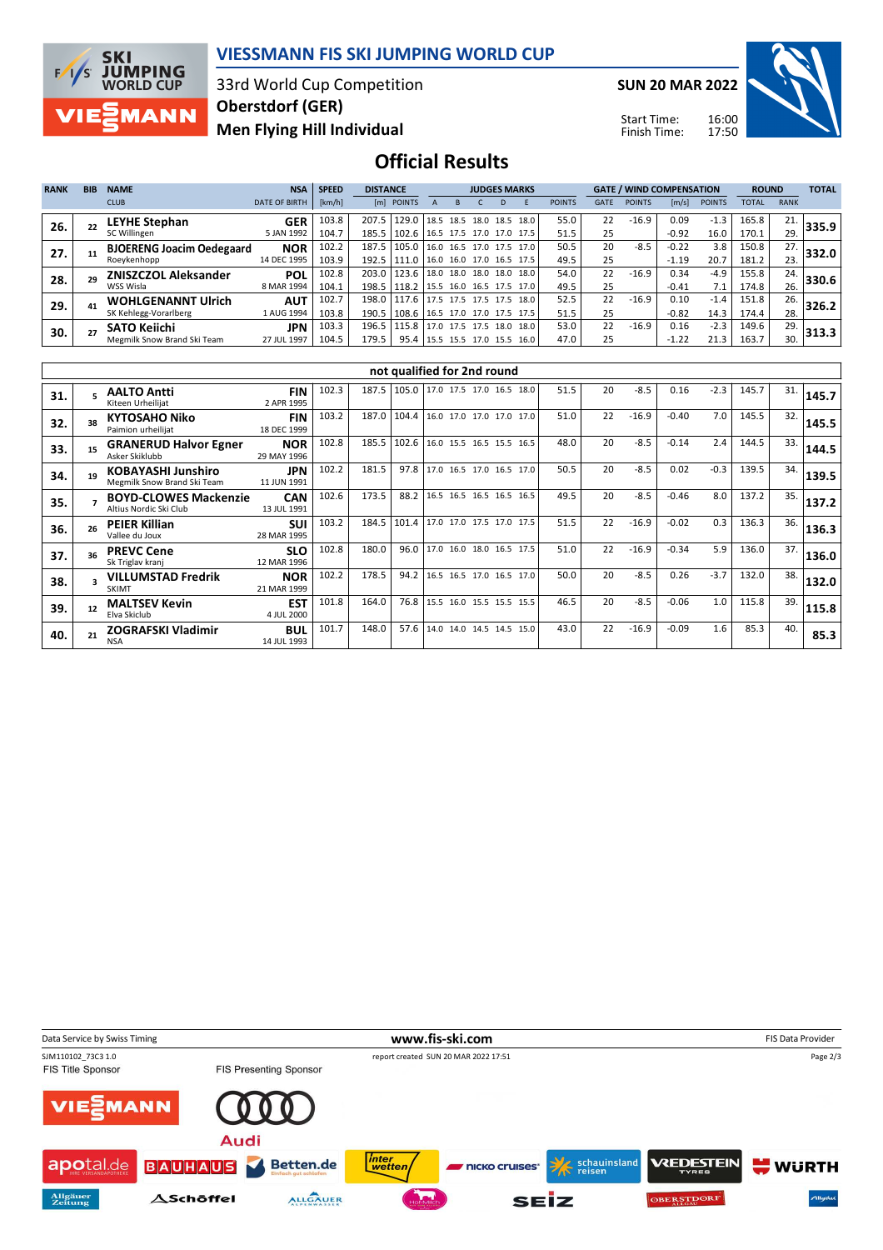

### **VIESSMANN FIS SKI JUMPING WORLD CUP**

33rd World Cup Competition **Men Flying Hill Individual Oberstdorf (GER)**

**SUN 20 MAR 2022**

Start Time: Finish Time:



### **Official Results**

| <b>RANK</b> | <b>BIB</b> | <b>NAME</b>                      | <b>NSA</b>           | <b>SPEED</b> | <b>DISTANCE</b> |            | <b>JUDGES MARKS</b>        |  |           |  |      |               | <b>GATE / WIND COMPENSATION</b> |               |         |               | <b>ROUND</b> | <b>TOTAL</b> |       |
|-------------|------------|----------------------------------|----------------------|--------------|-----------------|------------|----------------------------|--|-----------|--|------|---------------|---------------------------------|---------------|---------|---------------|--------------|--------------|-------|
|             |            | <b>CLUB</b>                      | <b>DATE OF BIRTH</b> | [km/h]       |                 | [m] POINTS |                            |  |           |  |      | <b>POINTS</b> | <b>GATE</b>                     | <b>POINTS</b> | [m/s]   | <b>POINTS</b> | <b>TOTAL</b> | <b>RANK</b>  |       |
| 26.         |            | <b>LEYHE Stephan</b>             | <b>GER</b>           | 103.8        | 207.5           | 129.0      | 18.5 18.5 18.0 18.5        |  |           |  | 18.0 | 55.0          | 22                              | $-16.9$       | 0.09    | $-1.3$        | 165.8        | 21.          | 335.9 |
|             |            | SC Willingen                     | 5 JAN 1992           | 104.7        | 185.5           | 102.6      | 16.5 17.5 17.0 17.0        |  |           |  | 17.5 | 51.5          | 25                              |               | $-0.92$ | 16.0          | 170.1        | 29.          |       |
| 27.         |            | <b>BJOERENG Joacim Oedegaard</b> | <b>NOR</b>           | 102.2        | 187.5           | 105.0      | 16.0 16.5 17.0 17.5        |  |           |  | 17.0 | 50.5          | 20                              | $-8.5$        | $-0.22$ | 3.8           | 150.8        | 27.          | 332.0 |
|             |            | Roeykenhopp                      | 14 DEC 1995          | 103.9        | 192.5           | 111.0      | 16.0 16.0 17.0 16.5 17.5   |  |           |  |      | 49.5          | 25                              |               | $-1.19$ | 20.7          | 181.2        | 23.          |       |
| 28.         |            | <b>ZNISZCZOL Aleksander</b>      | POL                  | 102.8        | 203.0           | 123.6      | 18.0 18.0                  |  | 18.0 18.0 |  | 18.0 | 54.0          | 22                              | $-16.9$       | 0.34    | -4.9          | 155.8        | 24.          | 330.6 |
|             |            | WSS Wisla                        | 8 MAR 1994           | 104.1        | 198.5           | 118.2      | 15.5 16.0 16.5 17.5 17.0   |  |           |  |      | 49.5          | 25                              |               | $-0.41$ | 7.1           | 174.8        | 26.          |       |
| 29.         | 41         | <b>WOHLGENANNT Ulrich</b>        | <b>AUT</b>           | 102.7        | 198.0           | 117.6      | 17.5 17.5 17.5 17.5        |  |           |  | 18.0 | 52.5          | 22                              | $-16.9$       | 0.10    | $-1.4$        | 151.8        | 26.          | 326.2 |
|             |            | SK Kehlegg-Vorarlberg            | 1 AUG 1994           | 103.8        | 190.5           | 108.6      | $16.5$ 17.0 17.0 17.5 17.5 |  |           |  |      | 51.5          | 25                              |               | $-0.82$ | 14.3          | 174.4        | 28.          |       |
| 30.         |            | <b>SATO Keiichi</b>              | <b>JPN</b>           | 103.3        | 196.5           | 115.8      | 17.0 17.5 17.5 18.0        |  |           |  | 18.0 | 53.0          | 22                              | $-16.9$       | 0.16    | $-2.3$        | 149.6        | 29.          | 313.3 |
|             |            | Megmilk Snow Brand Ski Team      | 27 JUL 1997          | 104.5        | 179.5           | 95.4       | 15.5 15.5 17.0 15.5 16.0   |  |           |  |      | 47.0          | 25                              |               | $-1.22$ | 21.3          | 163.7        | 30.          |       |

|     | not qualified for 2nd round |                                                          |                           |       |       |       |                          |  |  |  |      |      |    |         |         |        |       |     |       |
|-----|-----------------------------|----------------------------------------------------------|---------------------------|-------|-------|-------|--------------------------|--|--|--|------|------|----|---------|---------|--------|-------|-----|-------|
| 31. |                             | <b>AALTO Antti</b><br>Kiteen Urheilijat                  | <b>FIN</b><br>2 APR 1995  | 102.3 | 187.5 | 105.0 | 17.0 17.5 17.0 16.5      |  |  |  | 18.0 | 51.5 | 20 | $-8.5$  | 0.16    | $-2.3$ | 145.7 | 31. | 145.7 |
| 32. | 38                          | <b>KYTOSAHO Niko</b><br>Paimion urheilijat               | <b>FIN</b><br>18 DEC 1999 | 103.2 | 187.0 | 104.4 | 16.0 17.0 17.0 17.0 17.0 |  |  |  |      | 51.0 | 22 | $-16.9$ | $-0.40$ | 7.0    | 145.5 | 32. | 145.5 |
| 33. | 15                          | <b>GRANERUD Halvor Egner</b><br>Asker Skiklubb           | <b>NOR</b><br>29 MAY 1996 | 102.8 | 185.5 | 102.6 | 16.0 15.5 16.5 15.5 16.5 |  |  |  |      | 48.0 | 20 | $-8.5$  | $-0.14$ | 2.4    | 144.5 | 33. | 144.5 |
| 34. | 19                          | <b>KOBAYASHI Junshiro</b><br>Megmilk Snow Brand Ski Team | <b>JPN</b><br>11 JUN 1991 | 102.2 | 181.5 | 97.8  | 17.0 16.5 17.0 16.5 17.0 |  |  |  |      | 50.5 | 20 | $-8.5$  | 0.02    | $-0.3$ | 139.5 | 34. | 139.5 |
| 35. |                             | <b>BOYD-CLOWES Mackenzie</b><br>Altius Nordic Ski Club   | <b>CAN</b><br>13 JUL 1991 | 102.6 | 173.5 | 88.2  | 16.5 16.5 16.5 16.5 16.5 |  |  |  |      | 49.5 | 20 | $-8.5$  | $-0.46$ | 8.0    | 137.2 | 35. | 137.2 |
| 36. | 26                          | <b>PEIER Killian</b><br>Vallee du Joux                   | <b>SUI</b><br>28 MAR 1995 | 103.2 | 184.5 | 101.4 | 17.0 17.0 17.5 17.0 17.5 |  |  |  |      | 51.5 | 22 | $-16.9$ | $-0.02$ | 0.3    | 136.3 | 36. | 136.3 |
| 37. | 36                          | <b>PREVC Cene</b><br>Sk Triglav kranj                    | <b>SLO</b><br>12 MAR 1996 | 102.8 | 180.0 | 96.0  | 17.0 16.0 18.0 16.5 17.5 |  |  |  |      | 51.0 | 22 | $-16.9$ | $-0.34$ | 5.9    | 136.0 | 37. | 136.0 |
| 38. |                             | <b>VILLUMSTAD Fredrik</b><br><b>SKIMT</b>                | <b>NOR</b><br>21 MAR 1999 | 102.2 | 178.5 | 94.2  | 16.5 16.5 17.0 16.5 17.0 |  |  |  |      | 50.0 | 20 | $-8.5$  | 0.26    | $-3.7$ | 132.0 | 38. | 132.0 |
| 39. | 12                          | <b>MALTSEV Kevin</b><br>Elva Skiclub                     | <b>EST</b><br>4 JUL 2000  | 101.8 | 164.0 | 76.8  | 15.5 16.0 15.5 15.5 15.5 |  |  |  |      | 46.5 | 20 | $-8.5$  | $-0.06$ | 1.0    | 115.8 | 39. | 115.8 |
| 40. | 21                          | <b>ZOGRAFSKI Vladimir</b><br><b>NSA</b>                  | <b>BUL</b><br>14 JUL 1993 | 101.7 | 148.0 | 57.6  | 14.0 14.0 14.5 14.5 15.0 |  |  |  |      | 43.0 | 22 | $-16.9$ | $-0.09$ | 1.6    | 85.3  | 40. | 85.3  |